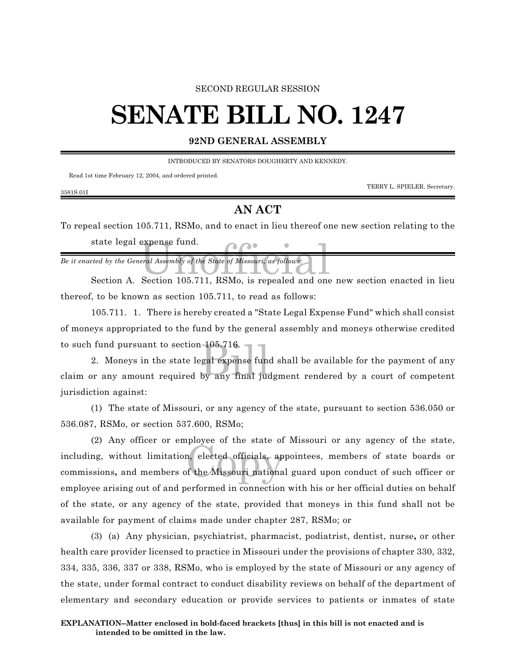## SECOND REGULAR SESSION

## **SENATE BILL NO. 1247**

**92ND GENERAL ASSEMBLY**

INTRODUCED BY SENATORS DOUGHERTY AND KENNEDY.

Read 1st time February 12, 2004, and ordered printed.

3581S.01I

TERRY L. SPIELER, Secretary.

## **AN ACT**

To repeal section 105.711, RSMo, and to enact in lieu thereof one new section relating to the state legal expense fund.

expense fund.<br>
Final Assembly of the State of Missouri, as follows:<br>
Section 105.711 BSMe, is repealed and one *Be it enacted by the General Assembly of the State of Missouri, as follows:*

Section A. Section 105.711, RSMo, is repealed and one new section enacted in lieu thereof, to be known as section 105.711, to read as follows:

105.711. 1. There is hereby created a "State Legal Expense Fund" which shall consist of moneys appropriated to the fund by the general assembly and moneys otherwise credited to such fund pursuant to section 105.716.

1-05,716.<br>1gal expense func<br>by any final jue 2. Moneys in the state legal expense fund shall be available for the payment of any claim or any amount required by any final judgment rendered by a court of competent jurisdiction against:

(1) The state of Missouri, or any agency of the state, pursuant to section 536.050 or 536.087, RSMo, or section 537.600, RSMo;

n, elected officials, ap<br>of the Missouri nationa (2) Any officer or employee of the state of Missouri or any agency of the state, including, without limitation, elected officials, appointees, members of state boards or commissions**,** and members of the Missouri national guard upon conduct of such officer or employee arising out of and performed in connection with his or her official duties on behalf of the state, or any agency of the state, provided that moneys in this fund shall not be available for payment of claims made under chapter 287, RSMo; or

(3) (a) Any physician, psychiatrist, pharmacist, podiatrist, dentist, nurse**,** or other health care provider licensed to practice in Missouri under the provisions of chapter 330, 332, 334, 335, 336, 337 or 338, RSMo, who is employed by the state of Missouri or any agency of the state, under formal contract to conduct disability reviews on behalf of the department of elementary and secondary education or provide services to patients or inmates of state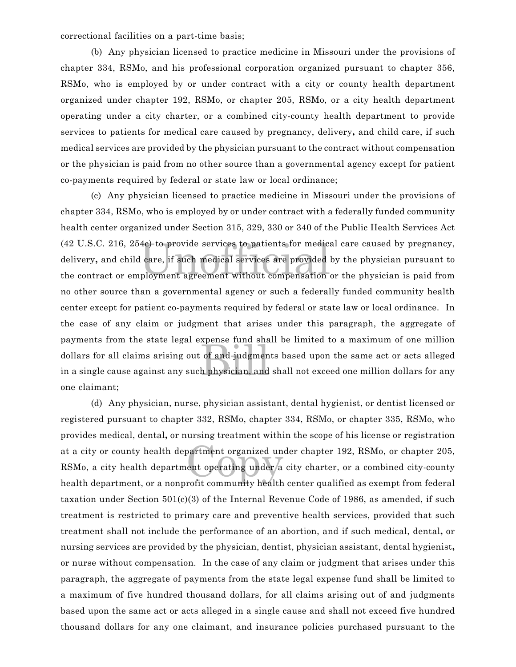correctional facilities on a part-time basis;

(b) Any physician licensed to practice medicine in Missouri under the provisions of chapter 334, RSMo, and his professional corporation organized pursuant to chapter 356, RSMo, who is employed by or under contract with a city or county health department organized under chapter 192, RSMo, or chapter 205, RSMo, or a city health department operating under a city charter, or a combined city-county health department to provide services to patients for medical care caused by pregnancy, delivery**,** and child care, if such medical services are provided by the physician pursuant to the contract without compensation or the physician is paid from no other source than a governmental agency except for patient co-payments required by federal or state law or local ordinance;

4c) to provide services to patients for medic:<br>l care, if such medical services are provided<br>ployment agreement without compensation apense rund sma<br>of and judgmen<br>h physician, and (c) Any physician licensed to practice medicine in Missouri under the provisions of chapter 334, RSMo, who is employed by or under contract with a federally funded community health center organized under Section 315, 329, 330 or 340 of the Public Health Services Act (42 U.S.C. 216, 254c) to provide services to patients for medical care caused by pregnancy, delivery**,** and child care, if such medical services are provided by the physician pursuant to the contract or employment agreement without compensation or the physician is paid from no other source than a governmental agency or such a federally funded community health center except for patient co-payments required by federal or state law or local ordinance. In the case of any claim or judgment that arises under this paragraph, the aggregate of payments from the state legal expense fund shall be limited to a maximum of one million dollars for all claims arising out of and judgments based upon the same act or acts alleged in a single cause against any such physician, and shall not exceed one million dollars for any one claimant;

at a city or county health department organized under chapter 192, RSMo, or chapter 205,<br>RSMo, a city health department operating under a city charter, or a combined city-county<br>health department or a pennyelit community h (d) Any physician, nurse, physician assistant, dental hygienist, or dentist licensed or registered pursuant to chapter 332, RSMo, chapter 334, RSMo, or chapter 335, RSMo, who provides medical, dental**,** or nursing treatment within the scope of his license or registration RSMo, a city health department operating under a city charter, or a combined city-county health department, or a nonprofit community health center qualified as exempt from federal taxation under Section 501(c)(3) of the Internal Revenue Code of 1986, as amended, if such treatment is restricted to primary care and preventive health services, provided that such treatment shall not include the performance of an abortion, and if such medical, dental**,** or nursing services are provided by the physician, dentist, physician assistant, dental hygienist**,** or nurse without compensation. In the case of any claim or judgment that arises under this paragraph, the aggregate of payments from the state legal expense fund shall be limited to a maximum of five hundred thousand dollars, for all claims arising out of and judgments based upon the same act or acts alleged in a single cause and shall not exceed five hundred thousand dollars for any one claimant, and insurance policies purchased pursuant to the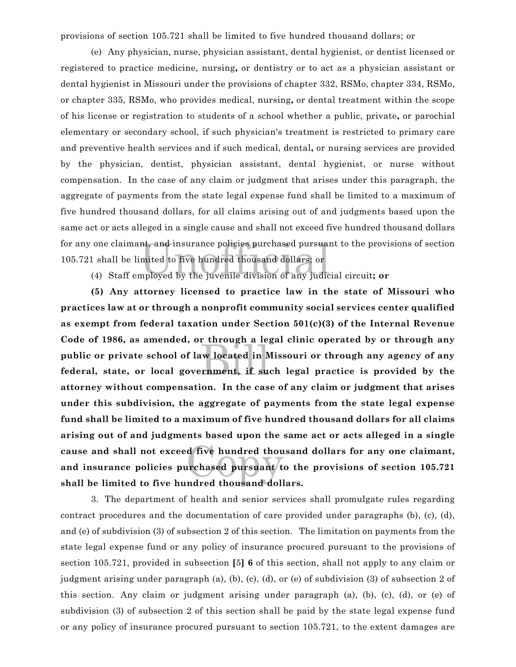provisions of section 105.721 shall be limited to five hundred thousand dollars; or

nt, and insurance policies purchased pursuar<br>mited to five hundred thousand dollars; or<br>nployed by the juvenile division of any judic (e) Any physician, nurse, physician assistant, dental hygienist, or dentist licensed or registered to practice medicine, nursing**,** or dentistry or to act as a physician assistant or dental hygienist in Missouri under the provisions of chapter 332, RSMo, chapter 334, RSMo, or chapter 335, RSMo, who provides medical, nursing**,** or dental treatment within the scope of his license or registration to students of a school whether a public, private**,** or parochial elementary or secondary school, if such physician's treatment is restricted to primary care and preventive health services and if such medical, dental**,** or nursing services are provided by the physician, dentist, physician assistant, dental hygienist, or nurse without compensation. In the case of any claim or judgment that arises under this paragraph, the aggregate of payments from the state legal expense fund shall be limited to a maximum of five hundred thousand dollars, for all claims arising out of and judgments based upon the same act or acts alleged in a single cause and shall not exceed five hundred thousand dollars for any one claimant, and insurance policies purchased pursuant to the provisions of section 105.721 shall be limited to five hundred thousand dollars; or

(4) Staff employed by the juvenile division of any judicial circuit**; or**

w located in N<br>rnment, if su d five hundred thou<br>urchased pursuant/t<br>ndred thousand doll **(5) Any attorney licensed to practice law in the state of Missouri who practices law at or through a nonprofit community social services center qualified as exempt from federal taxation under Section 501(c)(3) of the Internal Revenue Code of 1986, as amended, or through a legal clinic operated by or through any public or private school of law located in Missouri or through any agency of any federal, state, or local government, if such legal practice is provided by the attorney without compensation. In the case of any claim or judgment that arises under this subdivision, the aggregate of payments from the state legal expense fund shall be limited to a maximum of five hundred thousand dollars for all claims arising out of and judgments based upon the same act or acts alleged in a single cause and shall not exceed five hundred thousand dollars for any one claimant,** and insurance policies purchased pursuant/to the provisions of section 105.721 **shall be limited to five hundred thousand dollars.**

3. The department of health and senior services shall promulgate rules regarding contract procedures and the documentation of care provided under paragraphs (b), (c), (d), and (e) of subdivision (3) of subsection 2 of this section. The limitation on payments from the state legal expense fund or any policy of insurance procured pursuant to the provisions of section 105.721, provided in subsection **[**5**] 6** of this section, shall not apply to any claim or judgment arising under paragraph (a), (b), (c), (d), or (e) of subdivision (3) of subsection 2 of this section. Any claim or judgment arising under paragraph (a), (b), (c), (d), or (e) of subdivision (3) of subsection 2 of this section shall be paid by the state legal expense fund or any policy of insurance procured pursuant to section 105.721, to the extent damages are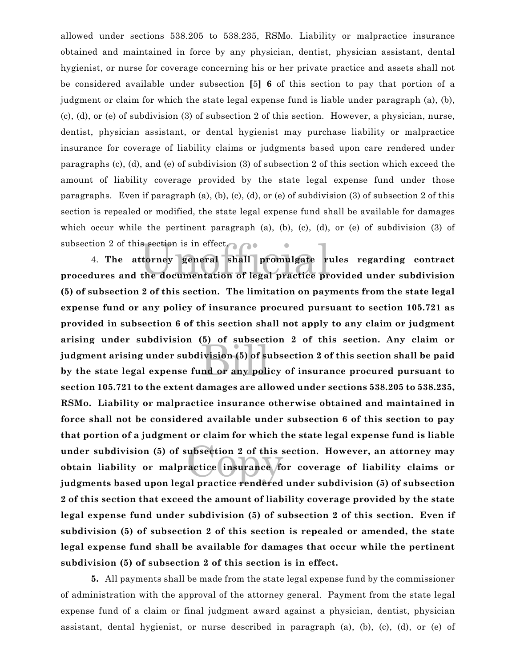allowed under sections 538.205 to 538.235, RSMo. Liability or malpractice insurance obtained and maintained in force by any physician, dentist, physician assistant, dental hygienist, or nurse for coverage concerning his or her private practice and assets shall not be considered available under subsection **[**5**] 6** of this section to pay that portion of a judgment or claim for which the state legal expense fund is liable under paragraph (a), (b), (c), (d), or (e) of subdivision (3) of subsection 2 of this section. However, a physician, nurse, dentist, physician assistant, or dental hygienist may purchase liability or malpractice insurance for coverage of liability claims or judgments based upon care rendered under paragraphs (c), (d), and (e) of subdivision (3) of subsection 2 of this section which exceed the amount of liability coverage provided by the state legal expense fund under those paragraphs. Even if paragraph (a), (b), (c), (d), or (e) of subdivision (3) of subsection 2 of this section is repealed or modified, the state legal expense fund shall be available for damages which occur while the pertinent paragraph (a), (b), (c), (d), or (e) of subdivision (3) of subsection 2 of this section is in effect.

Solution is in effect.<br>
Extorney general shall promulgate run<br>
the documentation of legal practice pr  $\frac{1}{1}$ ivision (5) of subsett<br>
and or any political under subdivision (5) of subsection 2 of this section. However, an attorney may<br>obtain liability or malpractice insurance for coverage of liability claims or<br>iudgments based upon legal practice rendered under subdivision ( 4. **The attorney general shall promulgate rules regarding contract procedures and the documentation of legal practice provided under subdivision (5) of subsection 2 of this section. The limitation on payments from the state legal expense fund or any policy of insurance procured pursuant to section 105.721 as provided in subsection 6 of this section shall not apply to any claim or judgment arising under subdivision (5) of subsection 2 of this section. Any claim or judgment arising under subdivision (5) of subsection 2 of this section shall be paid by the state legal expense fund or any policy of insurance procured pursuant to section 105.721 to the extent damages are allowed under sections 538.205 to 538.235, RSMo. Liability or malpractice insurance otherwise obtained and maintained in force shall not be considered available under subsection 6 of this section to pay that portion of a judgment or claim for which the state legal expense fund is liable obtain liability or malpractice insurance for coverage of liability claims or judgments based upon legal practice rendered under subdivision (5) of subsection 2 of this section that exceed the amount of liability coverage provided by the state legal expense fund under subdivision (5) of subsection 2 of this section. Even if subdivision (5) of subsection 2 of this section is repealed or amended, the state legal expense fund shall be available for damages that occur while the pertinent subdivision (5) of subsection 2 of this section is in effect.**

**5.** All payments shall be made from the state legal expense fund by the commissioner of administration with the approval of the attorney general. Payment from the state legal expense fund of a claim or final judgment award against a physician, dentist, physician assistant, dental hygienist, or nurse described in paragraph (a), (b), (c), (d), or (e) of